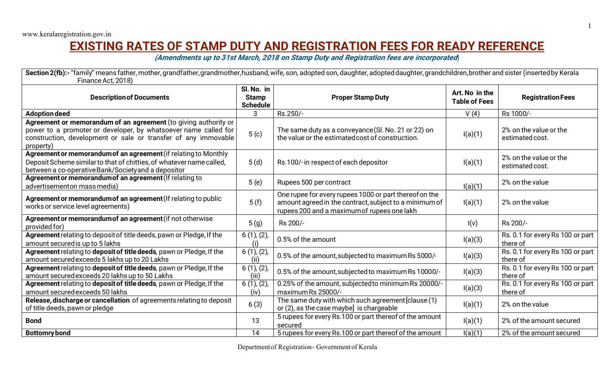## **EXISTING RATES OF STAMP DUTY AND REGISTRATION FEES FOR READY REFERENCE**

**(Amendments up to 31st March, 2018 on Stamp Duty and Registration fees are incorporated**)

Section 2(fb):- "family" means father, mother, grandfather, grandmother, husband, wife, son, adopted son, daughter, adopted daughter, grandchildren, brother and sister (inserted by Kerala Finance Act, 2018)

| <b>Description of Documents</b>                                                                                                                                                                                   | Sl. No. in<br><b>Stamp</b><br><b>Schedule</b> | <b>Proper Stamp Duty</b>                                                                                                                                        | Art. No in the<br><b>Table of Fees</b> | <b>Registration Fees</b>                     |
|-------------------------------------------------------------------------------------------------------------------------------------------------------------------------------------------------------------------|-----------------------------------------------|-----------------------------------------------------------------------------------------------------------------------------------------------------------------|----------------------------------------|----------------------------------------------|
| <b>Adoption deed</b>                                                                                                                                                                                              | 3                                             | Rs.250/-                                                                                                                                                        | V(4)                                   | Rs 1000/-                                    |
| Agreement or memorandum of an agreement (to giving authority or<br>power to a promoter or developer, by whatsoever name called for<br>construction, development or sale or transfer of any immovable<br>property) | 5( c)                                         | The same duty as a conveyance (Sl. No. 21 or 22) on<br>the value or the estimated cost of construction.                                                         | I(a)(1)                                | 2% on the value or the<br>estimated cost.    |
| Agreement or memorandum of an agreement (if relating to Monthly<br>Deposit Scheme similar to that of chitties, of whatever name called,<br>between a co-operative Bank/Society and a depositor                    | 5(d)                                          | Rs.100/-in respect of each depositor                                                                                                                            | I(a)(1)                                | 2% on the value or the<br>estimated cost.    |
| Agreement or memorandum of an agreement (If relating to<br>advertisementon mass media)                                                                                                                            | 5(e)                                          | Rupees 500 per contract                                                                                                                                         | I(a)(1)                                | 2% on the value                              |
| Agreement or memorandum of an agreement (If relating to public<br>works or service level agreements)                                                                                                              | 5(f)                                          | One rupee for every rupees 1000 or part thereof on the<br>amount agreed in the contract, subject to a minimum of<br>rupees 200 and a maximum of rupees one lakh | I(a)(1)                                | 2% on the value                              |
| Agreement or memorandum of an agreement (if not otherwise<br>provided for)                                                                                                                                        | 5(g)                                          | Rs 200/-                                                                                                                                                        | I(v)                                   | Rs 200/-                                     |
| Agreement relating to deposit of title deeds, pawn or Pledge, If the<br>amount secured is up to 5 lakhs                                                                                                           | $6(1)$ , $(2)$ ,<br>(i)                       | 0.5% of the amount                                                                                                                                              | I(a)(3)                                | Rs. 0.1 for every Rs 100 or part<br>there of |
| Agreement relating to deposit of title deeds, pawn or Pledge, If the<br>amount secured exceeds 5 lakhs up to 20 Lakhs                                                                                             | $6(1)$ , $(2)$ ,<br>(ii)                      | 0.5% of the amount, subjected to maximum Rs 5000/-                                                                                                              | I(a)(3)                                | Rs. 0.1 for every Rs 100 or part<br>there of |
| Agreement relating to deposit of title deeds, pawn or Pledge, If the<br>amount secured exceeds 20 lakhs up to 50 Lakhs                                                                                            | $6(1)$ , $(2)$ ,<br>(iii)                     | 0.5% of the amount, subjected to maximum Rs 10000/-                                                                                                             | I(a)(3)                                | Rs. 0.1 for every Rs 100 or part<br>there of |
| Agreement relating to deposit of title deeds, pawn or Pledge, If the<br>amount secured exceeds 50 lakhs                                                                                                           | $6(1)$ , $(2)$ ,<br>(iv)                      | 0.25% of the amount, subjected to minimum Rs 20000/-<br>maximum Rs 25000/-                                                                                      | I(a)(3)                                | Rs. 0.1 for every Rs 100 or part<br>there of |
| Release, discharge or cancellation of agreements relating to deposit<br>of title deeds, pawn or pledge                                                                                                            | 6(3)                                          | The same duty with which such agreement [clause (1)<br>or (2), as the case maybe] is chargeable                                                                 | I(a)(1)                                | 2% on the value                              |
| <b>Bond</b>                                                                                                                                                                                                       | 13                                            | 5 rupees for every Rs.100 or part thereof of the amount<br>secured                                                                                              | I(a)(1)                                | 2% of the amount secured                     |
| <b>Bottomry bond</b>                                                                                                                                                                                              | 14                                            | 5 rupees for every Rs.100 or part thereof of the amount                                                                                                         | I(a)(1)                                | 2% of the amount secured                     |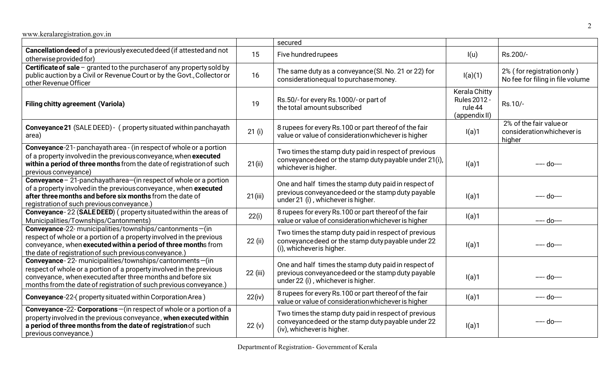|                                                                                                                                                                                                                                                                      |          | secured                                                                                                                                          |                                                                         |                                                                 |
|----------------------------------------------------------------------------------------------------------------------------------------------------------------------------------------------------------------------------------------------------------------------|----------|--------------------------------------------------------------------------------------------------------------------------------------------------|-------------------------------------------------------------------------|-----------------------------------------------------------------|
| Cancellation deed of a previously executed deed (if attested and not<br>otherwise provided for)                                                                                                                                                                      | 15       | Five hundred rupees                                                                                                                              | I(u)                                                                    | Rs.200/-                                                        |
| Certificate of sale - granted to the purchaser of any property sold by<br>public auction by a Civil or Revenue Court or by the Govt., Collector or<br>other Revenue Officer                                                                                          | 16       | The same duty as a conveyance (Sl. No. 21 or 22) for<br>consideration equal to purchase money.                                                   | I(a)(1)                                                                 | 2% (for registration only)<br>No fee for filing in file volume  |
| <b>Filing chitty agreement (Variola)</b>                                                                                                                                                                                                                             | 19       | Rs.50/-for every Rs.1000/-or part of<br>the total amount subscribed                                                                              | <b>Kerala Chitty</b><br><b>Rules 2012 -</b><br>rule 44<br>(appendix II) | Rs.10/-                                                         |
| <b>Conveyance 21</b> (SALE DEED) - ( property situated within panchayath<br>area)                                                                                                                                                                                    | 21(i)    | 8 rupees for every Rs.100 or part thereof of the fair<br>value or value of consideration whichever is higher                                     | I(a)1                                                                   | 2% of the fair value or<br>consideration whichever is<br>higher |
| Conveyance-21- panchayath area - (in respect of whole or a portion<br>of a property involved in the previous conveyance, when executed<br>within a period of three months from the date of registration of such<br>previous conveyance)                              | 21 (ii)  | Two times the stamp duty paid in respect of previous<br>conveyance deed or the stamp duty payable under 21(i),<br>whichever is higher.           | I(a)1                                                                   | ---- do----                                                     |
| Conveyance $-21$ -panchayatharea $-$ (in respect of whole or a portion<br>of a property involved in the previous conveyance, when executed<br>after three months and before six months from the date of<br>registration of such previous conveyance.)                | 21(iii)  | One and half times the stamp duty paid in respect of<br>previous conveyance deed or the stamp duty payable<br>under 21 (i), whichever is higher. | I(a)1                                                                   | ---- do----                                                     |
| Conveyance - 22 (SALE DEED) (property situated within the areas of<br>Municipalities/Townships/Cantonments)                                                                                                                                                          | 22(i)    | 8 rupees for every Rs.100 or part thereof of the fair<br>value or value of consideration whichever is higher                                     | I(a)1                                                                   | ---- do----                                                     |
| Conveyance-22- municipalities/townships/cantonments-(in<br>respect of whole or a portion of a property involved in the previous<br>conveyance, when executed within a period of three months from<br>the date of registration of such previous conveyance.)          | 22 (ii)  | Two times the stamp duty paid in respect of previous<br>conveyance deed or the stamp duty payable under 22<br>(i), whichever is higher.          | I(a)1                                                                   | ––– do–––                                                       |
| Conveyance-22- municipalities/townships/cantonments-(in<br>respect of whole or a portion of a property involved in the previous<br>conveyance, when executed after three months and before six<br>months from the date of registration of such previous conveyance.) | 22 (iii) | One and half times the stamp duty paid in respect of<br>previous conveyance deed or the stamp duty payable<br>under 22 (i), whichever is higher. | I(a)1                                                                   | ---- do----                                                     |
| Conveyance-22-(property situated within Corporation Area)                                                                                                                                                                                                            | 22(iv)   | 8 rupees for every Rs.100 or part thereof of the fair<br>value or value of consideration whichever is higher                                     | I(a)1                                                                   | ---- do----                                                     |
| Conveyance-22- Corporations-(in respect of whole or a portion of a<br>property involved in the previous conveyance, when executed within<br>a period of three months from the date of registration of such<br>previous conveyance.)                                  | 22(y)    | Two times the stamp duty paid in respect of previous<br>conveyance deed or the stamp duty payable under 22<br>(iv), whichever is higher.         | I(a)1                                                                   | ---- do----                                                     |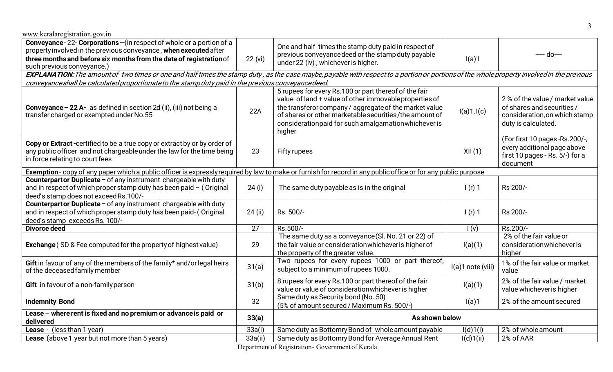| 22 (vi)                                                                                                                                                      | One and half times the stamp duty paid in respect of<br>previous conveyance deed or the stamp duty payable<br>under 22 (iv), whichever is higher.                                                                                            | I(a)1                                                                                                                                                                                                                | ---- do----                                                                                                                                                                                                  |  |  |
|--------------------------------------------------------------------------------------------------------------------------------------------------------------|----------------------------------------------------------------------------------------------------------------------------------------------------------------------------------------------------------------------------------------------|----------------------------------------------------------------------------------------------------------------------------------------------------------------------------------------------------------------------|--------------------------------------------------------------------------------------------------------------------------------------------------------------------------------------------------------------|--|--|
|                                                                                                                                                              |                                                                                                                                                                                                                                              |                                                                                                                                                                                                                      |                                                                                                                                                                                                              |  |  |
|                                                                                                                                                              |                                                                                                                                                                                                                                              |                                                                                                                                                                                                                      |                                                                                                                                                                                                              |  |  |
| 22A                                                                                                                                                          | value of land + value of other immovable properties of<br>the transferor company / aggregate of the market value<br>of shares or other marketable securities/the amount of<br>considerationpaid for such amalgamation whichever is<br>higher | I(a)1, I(c)                                                                                                                                                                                                          | 2% of the value / market value<br>of shares and securities /<br>consideration, on which stamp<br>duty is calculated.                                                                                         |  |  |
| 23                                                                                                                                                           | <b>Fifty rupees</b>                                                                                                                                                                                                                          | XII(1)                                                                                                                                                                                                               | (For first 10 pages -Rs.200/-,<br>every additional page above<br>first 10 pages - Rs. 5/-) for a<br>document                                                                                                 |  |  |
| Exemption-copy of any paper which a public officer is expressly required by law to make or furnish for record in any public office or for any public purpose |                                                                                                                                                                                                                                              |                                                                                                                                                                                                                      |                                                                                                                                                                                                              |  |  |
| 24 (i)                                                                                                                                                       | The same duty payable as is in the original                                                                                                                                                                                                  | $1(r)$ 1                                                                                                                                                                                                             | Rs 200/-                                                                                                                                                                                                     |  |  |
| 24 (ii)                                                                                                                                                      | Rs. 500/-                                                                                                                                                                                                                                    | $1(r)$ 1                                                                                                                                                                                                             | Rs 200/-                                                                                                                                                                                                     |  |  |
| 27                                                                                                                                                           | Rs.500/-                                                                                                                                                                                                                                     | I(v)                                                                                                                                                                                                                 | Rs.200/-                                                                                                                                                                                                     |  |  |
| 29                                                                                                                                                           | the fair value or consideration whichever is higher of<br>the property of the greater value.                                                                                                                                                 | I(a)(1)                                                                                                                                                                                                              | 2% of the fair value or<br>consideration whichever is<br>higher                                                                                                                                              |  |  |
| 31(a)                                                                                                                                                        | Two rupees for every rupees 1000 or part thereof,<br>subject to a minimum of rupees 1000.                                                                                                                                                    | I(a)1 note (viii)                                                                                                                                                                                                    | 1% of the fair value or market<br>value                                                                                                                                                                      |  |  |
| 31(b)                                                                                                                                                        | 8 rupees for every Rs.100 or part thereof of the fair<br>value or value of consideration whichever is higher                                                                                                                                 | I(a)(1)                                                                                                                                                                                                              | 2% of the fair value / market<br>value whichever is higher                                                                                                                                                   |  |  |
| 32                                                                                                                                                           | Same duty as Security bond (No. 50)<br>(5% of amount secured / Maximum Rs. 500/-)                                                                                                                                                            | I(a)1                                                                                                                                                                                                                | 2% of the amount secured                                                                                                                                                                                     |  |  |
| 33(a)                                                                                                                                                        |                                                                                                                                                                                                                                              |                                                                                                                                                                                                                      |                                                                                                                                                                                                              |  |  |
| 33a(i)                                                                                                                                                       | Same duty as Bottomry Bond of whole amount payable                                                                                                                                                                                           | I(d)1(i)                                                                                                                                                                                                             | 2% of whole amount                                                                                                                                                                                           |  |  |
| 33a(ii)                                                                                                                                                      | Same duty as Bottomry Bond for Average Annual Rent                                                                                                                                                                                           | I(d)1(ii)                                                                                                                                                                                                            | 2% of AAR                                                                                                                                                                                                    |  |  |
|                                                                                                                                                              |                                                                                                                                                                                                                                              | conveyance shall be calculated proportionate to the stamp duty paid in the previous conveyance deed.<br>5 rupees for every Rs.100 or part thereof of the fair<br>The same duty as a conveyance (Sl. No. 21 or 22) of | EXPLANATION: The amount of two times or one and half times the stamp duty, as the case maybe, payable with respect to a portion or portions of the whole property involved in the previous<br>As shown below |  |  |

Departmentof Registration- Governmentof Kerala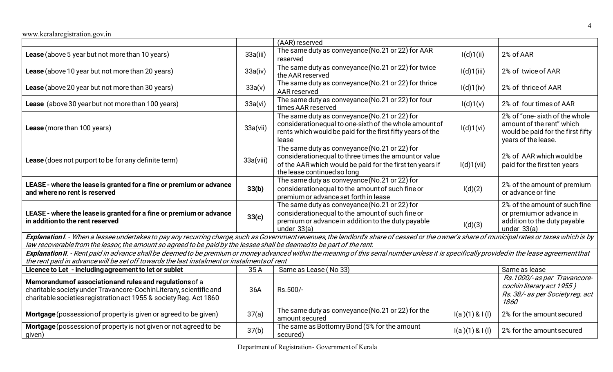|                                                                                                                                                                                                                                                                                                                           |           | (AAR) reserved                                                                                                                                                                                      |                |                                                                                                                        |
|---------------------------------------------------------------------------------------------------------------------------------------------------------------------------------------------------------------------------------------------------------------------------------------------------------------------------|-----------|-----------------------------------------------------------------------------------------------------------------------------------------------------------------------------------------------------|----------------|------------------------------------------------------------------------------------------------------------------------|
| Lease (above 5 year but not more than 10 years)                                                                                                                                                                                                                                                                           | 33a(iii)  | The same duty as conveyance (No.21 or 22) for AAR<br>reserved                                                                                                                                       | I(d)1(ii)      | 2% of AAR                                                                                                              |
| Lease (above 10 year but not more than 20 years)                                                                                                                                                                                                                                                                          | 33a(iv)   | The same duty as conveyance (No.21 or 22) for twice<br>the AAR reserved                                                                                                                             | I(d)1(iii)     | 2% of twice of AAR                                                                                                     |
| Lease (above 20 year but not more than 30 years)                                                                                                                                                                                                                                                                          | 33a(v)    | The same duty as conveyance (No.21 or 22) for thrice<br>AAR reserved                                                                                                                                | I(d)1(iv)      | 2% of thrice of AAR                                                                                                    |
| Lease (above 30 year but not more than 100 years)                                                                                                                                                                                                                                                                         | 33a(vi)   | The same duty as conveyance (No.21 or 22) for four<br>times AAR reserved                                                                                                                            | I(d)1(v)       | 2% of four times of AAR                                                                                                |
| Lease (more than 100 years)                                                                                                                                                                                                                                                                                               | 33a(vii)  | The same duty as conveyance (No.21 or 22) for<br>consideration equal to one-sixth of the whole amount of<br>rents which would be paid for the first fifty years of the<br>lease                     | I(d)1(vi)      | 2% of "one-sixth of the whole<br>amount of the rent" which<br>would be paid for the first fifty<br>years of the lease. |
| Lease (does not purport to be for any definite term)                                                                                                                                                                                                                                                                      | 33a(viii) | The same duty as conveyance (No.21 or 22) for<br>consideration equal to three times the amount or value<br>of the AAR which would be paid for the first ten years if<br>the lease continued so long | I(d)1(vii)     | 2% of AAR which would be<br>paid for the first ten years                                                               |
| LEASE - where the lease is granted for a fine or premium or advance<br>and where no rent is reserved                                                                                                                                                                                                                      | 33(b)     | The same duty as conveyance (No.21 or 22) for<br>consideration equal to the amount of such fine or<br>premium or advance set forth in lease                                                         | I(d)(2)        | 2% of the amount of premium<br>or advance or fine                                                                      |
| LEASE - where the lease is granted for a fine or premium or advance<br>in addition to the rent reserved                                                                                                                                                                                                                   | 33(c)     | The same duty as conveyance (No.21 or 22) for<br>consideration equal to the amount of such fine or<br>premium or advance in addition to the duty payable<br>under $33(a)$                           | I(d)(3)        | 2% of the amount of such fine<br>or premium or advance in<br>addition to the duty payable<br>under $33(a)$             |
| Explanation I. - When a lessee undertakes to pay any recurring charge, such as Government revenues, the landlord's share of cessed or the owner's share of municipal rates or taxes which is by<br>law recoverable from the lessor, the amount so agreed to be paid by the lessee shall be deemed to be part of the rent. |           |                                                                                                                                                                                                     |                |                                                                                                                        |
| Explanation II. - Rent paid in advance shall be deemed to be premium or money advanced within the meaning of this serial number unless it is specifically provided in the lease agreement that<br>the rent paid in advance will be set off towards the last instalment or instalments of rent                             |           |                                                                                                                                                                                                     |                |                                                                                                                        |
| Licence to Let - including agreement to let or sublet                                                                                                                                                                                                                                                                     | 35A       | Same as Lease (No 33)                                                                                                                                                                               |                | Same as lease                                                                                                          |
| Memorandum of association and rules and regulations of a<br>charitable society under Travancore-CochinLiterary, scientific and<br>charitable societies registration act 1955 & society Reg. Act 1860                                                                                                                      | 36A       | Rs.500/-                                                                                                                                                                                            |                | Rs. 1000/-as per Travancore-<br>cochin literary act 1955)<br>Rs. 38/- as per Societyreg. act<br>1860                   |
| Mortgage (possession of property is given or agreed to be given)                                                                                                                                                                                                                                                          | 37(a)     | The same duty as conveyance (No.21 or 22) for the<br>amount secured                                                                                                                                 | I(a)(1) & I(l) | 2% for the amount secured                                                                                              |
| Mortgage (possession of property is not given or not agreed to be<br>given)                                                                                                                                                                                                                                               | 37(b)     | The same as Bottomry Bond (5% for the amount<br>secured)                                                                                                                                            | I(a)(1) & I(l) | 2% for the amount secured                                                                                              |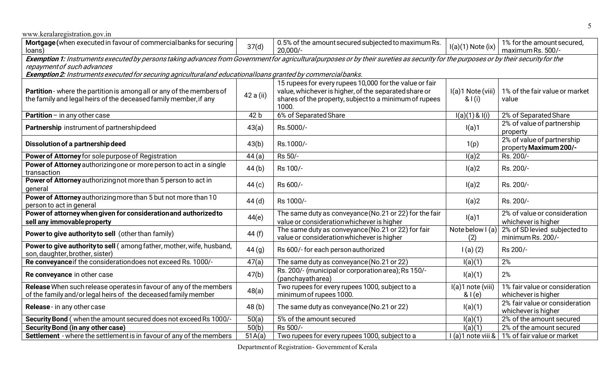| www.keralaregistration.gov.in                                                                                                                                                                                       |           |                                                                                                  |                               |                                                      |  |  |
|---------------------------------------------------------------------------------------------------------------------------------------------------------------------------------------------------------------------|-----------|--------------------------------------------------------------------------------------------------|-------------------------------|------------------------------------------------------|--|--|
| Mortgage (when executed in favour of commercial banks for securing<br>loans)                                                                                                                                        | 37(d)     | 0.5% of the amount secured subjected to maximum Rs.<br>$20,000/-$                                | $I(a)(1)$ Note (ix)           | 1% for the amount secured,<br>maximum Rs. 500/-      |  |  |
| Exemption 1: Instruments executed by persons taking advances from Government for agricultural purposes or by their sureties as security for the purposes or by their security for the<br>repayment of such advances |           |                                                                                                  |                               |                                                      |  |  |
| Exemption 2: Instruments executed for securing agricultural and educational loans granted by commercial banks.                                                                                                      |           |                                                                                                  |                               |                                                      |  |  |
|                                                                                                                                                                                                                     |           | 15 rupees for every rupees 10,000 for the value or fair                                          |                               |                                                      |  |  |
| Partition - where the partition is among all or any of the members of                                                                                                                                               |           | value, whichever is higher, of the separated share or                                            | I(a)1 Note (viii)             | 1% of the fair value or market                       |  |  |
| the family and legal heirs of the deceased family member, if any                                                                                                                                                    | 42 a (ii) | shares of the property, subject to a minimum of rupees                                           | & 1(i)                        | value                                                |  |  |
|                                                                                                                                                                                                                     |           | 1000.                                                                                            |                               |                                                      |  |  |
| <b>Partition</b> – in any other case                                                                                                                                                                                | 42 b      | 6% of Separated Share                                                                            | I(a)(1) & I(i)                | 2% of Separated Share                                |  |  |
| Partnership instrument of partnership deed                                                                                                                                                                          | 43(a)     | Rs.5000/-                                                                                        | I(a)1                         | 2% of value of partnership                           |  |  |
|                                                                                                                                                                                                                     |           |                                                                                                  |                               | property                                             |  |  |
| Dissolution of a partnership deed                                                                                                                                                                                   | 43(b)     | Rs.1000/-                                                                                        | 1(p)                          | 2% of value of partnership<br>property Maximum 200/- |  |  |
| Power of Attorney for sole purpose of Registration                                                                                                                                                                  | 44(a)     | Rs 50/-                                                                                          | I(a)2                         | Rs. 200/-                                            |  |  |
| Power of Attorney authorizing one or more person to act in a single                                                                                                                                                 |           |                                                                                                  |                               |                                                      |  |  |
| transaction                                                                                                                                                                                                         | 44(b)     | Rs 100/-                                                                                         | I(a)2                         | Rs. 200/-                                            |  |  |
| Power of Attorney authorizing not more than 5 person to act in                                                                                                                                                      |           | Rs 600/-                                                                                         |                               |                                                      |  |  |
| general                                                                                                                                                                                                             | 44(c)     |                                                                                                  | I(a)2                         | Rs. 200/-                                            |  |  |
| Power of Attorney authorizing more than 5 but not more than 10                                                                                                                                                      | 44(d)     | Rs 1000/-                                                                                        | I(a)2                         | Rs. 200/-                                            |  |  |
| person to act in general                                                                                                                                                                                            |           |                                                                                                  |                               |                                                      |  |  |
| Power of attorney when given for consideration and authorized to                                                                                                                                                    | 44(e)     | The same duty as conveyance (No.21 or 22) for the fair                                           | I(a)1                         | 2% of value or consideration                         |  |  |
| sell any immovable property                                                                                                                                                                                         |           | value or consideration whichever is higher                                                       |                               | whichever is higher                                  |  |  |
| Power to give authority to sell (other than family)                                                                                                                                                                 | 44 (f)    | The same duty as conveyance (No.21 or 22) for fair<br>value or consideration whichever is higher | Note below $\vert$ (a)<br>(2) | 2% of SD levied subjected to<br>minimum Rs. 200/-    |  |  |
| Power to give authority to sell (among father, mother, wife, husband,                                                                                                                                               |           |                                                                                                  |                               |                                                      |  |  |
| son, daughter, brother, sister)                                                                                                                                                                                     | 44(g)     | Rs 600/- for each person authorized                                                              | $I(a)$ $(2)$                  | Rs 200/-                                             |  |  |
| Re conveyance if the consideration does not exceed Rs. 1000/-                                                                                                                                                       | 47(a)     | The same duty as conveyance (No.21 or 22)                                                        | I(a)(1)                       | 2%                                                   |  |  |
| Re conveyance in other case                                                                                                                                                                                         | 47(b)     | Rs. 200/- (municipal or corporation area); Rs 150/-                                              | I(a)(1)                       | 2%                                                   |  |  |
|                                                                                                                                                                                                                     |           | (panchayatharea)                                                                                 |                               |                                                      |  |  |
| Release When such release operates in favour of any of the members                                                                                                                                                  | 48(a)     | Two rupees for every rupees 1000, subject to a                                                   | I(a)1 note (viii)             | 1% fair value or consideration                       |  |  |
| of the family and/or legal heirs of the deceased family member                                                                                                                                                      |           | minimum of rupees 1000.                                                                          | & I(e)                        | whichever is higher                                  |  |  |
| Release - in any other case                                                                                                                                                                                         | 48(b)     | The same duty as conveyance (No.21 or 22)                                                        | I(a)(1)                       | 2% fair value or consideration                       |  |  |
| Security Bond (when the amount secured does not exceed Rs 1000/-                                                                                                                                                    | 50(a)     | 5% of the amount secured                                                                         | I(a)(1)                       | whichever is higher<br>2% of the amount secured      |  |  |
| <b>Security Bond (in any other case)</b>                                                                                                                                                                            | 50(b)     | Rs 500/-                                                                                         | I(a)(1)                       | 2% of the amount secured                             |  |  |
| Settlement - where the settlement is in favour of any of the members                                                                                                                                                | 51A(a)    | Two rupees for every rupees 1000, subject to a                                                   |                               | I (a)1 note viii &   1% of fair value or market      |  |  |
|                                                                                                                                                                                                                     |           |                                                                                                  |                               |                                                      |  |  |

Departmentof Registration- Governmentof Kerala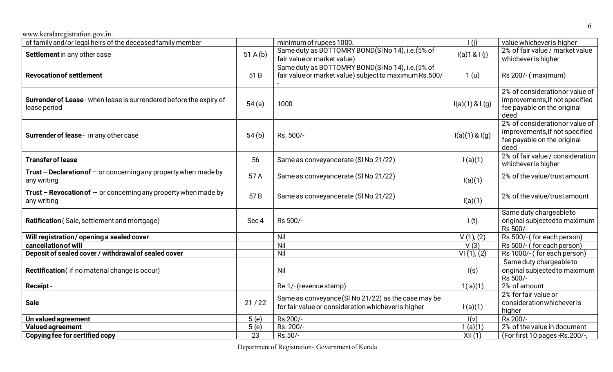| of family and/or legal heirs of the deceased family member                             |                  | minimum of rupees 1000.                                                                                    | $\overline{1(i)}$  | value whichever is higher                                                                               |
|----------------------------------------------------------------------------------------|------------------|------------------------------------------------------------------------------------------------------------|--------------------|---------------------------------------------------------------------------------------------------------|
| Settlement in any other case                                                           | 51 A(b)          | Same duty as BOTTOMRY BOND(SINo 14), i.e. (5% of<br>fair value or market value)                            | I(a)1 & I(j)       | 2% of fair value / market value<br>whichever is higher                                                  |
| <b>Revocation of settlement</b>                                                        | 51 B             | Same duty as BOTTOMRY BOND(SINo 14), i.e. (5% of<br>fair value or market value) subject to maximum Rs.500/ | 1 <sub>(u)</sub>   | Rs 200/- (maximum)                                                                                      |
| Surrender of Lease - when lease is surrendered before the expiry of<br>lease period    | 54(a)            | 1000                                                                                                       | I(a)(1) & I(g)     | 2% of considerationor value of<br>improvements, if not specified<br>fee payable on the original<br>deed |
| Surrender of lease - in any other case                                                 | 54(b)            | Rs. 500/-                                                                                                  | $I(a)(1)$ & $I(g)$ | 2% of considerationor value of<br>improvements, if not specified<br>fee payable on the original<br>deed |
| <b>Transfer of lease</b>                                                               | 56               | Same as conveyancerate (SI No 21/22)                                                                       | 1(a)(1)            | 2% of fair value / consideration<br>whichever is higher                                                 |
| <b>Trust - Declaration of - or concerning any property when made by</b><br>any writing | 57 A             | Same as conveyancerate (SI No 21/22)                                                                       | I(a)(1)            | 2% of the value/trust amount                                                                            |
| Trust - Revocation of -- or concerning any property when made by<br>any writing        | 57B              | Same as conveyancerate (SI No 21/22)                                                                       | I(a)(1)            | 2% of the value/trust amount                                                                            |
| Ratification (Sale, settlement and mortgage)                                           | Sec <sub>4</sub> | Rs 500/-                                                                                                   | $\mathbf{I}(t)$    | Same duty chargeableto<br>original subjected to maximum<br>Rs 500/-                                     |
| Will registration/opening a sealed cover                                               |                  | Nil                                                                                                        | $V(1)$ , $(2)$     | Rs.500/-(for each person)                                                                               |
| cancellation of will                                                                   |                  | Nil                                                                                                        | V(3)               | Rs 500/- (for each person)                                                                              |
| Deposit of sealed cover / withdrawal of sealed cover                                   |                  | Nil                                                                                                        | VI(1), (2)         | Rs 1000/- (for each person)                                                                             |
| Rectification (if no material change is occur)                                         |                  | Nil                                                                                                        | I(s)               | Same duty chargeableto<br>original subjected to maximum<br>Rs 500/-                                     |
| <b>Receipt-</b>                                                                        |                  | Re.1/- (revenue stamp)                                                                                     | 1(a)(1)            | 2% of amount                                                                                            |
| <b>Sale</b>                                                                            | 21/22            | Same as conveyance (SI No 21/22) as the case may be<br>for fair value or consideration whichever is higher | 1(a)(1)            | 2% for fair value or<br>consideration whichever is<br>higher                                            |
| Un valued agreement                                                                    | 5(e)             | Rs 200/-                                                                                                   | I(v)               | Rs 200/-                                                                                                |
| <b>Valued agreement</b>                                                                | 5(e)             | Rs. 200/-                                                                                                  | 1(a)(1)            | 2% of the value in document                                                                             |
| Copying fee for certified copy                                                         | 23               | Rs.50/-                                                                                                    | XII(1)             | (For first 10 pages - Rs. 200/-,                                                                        |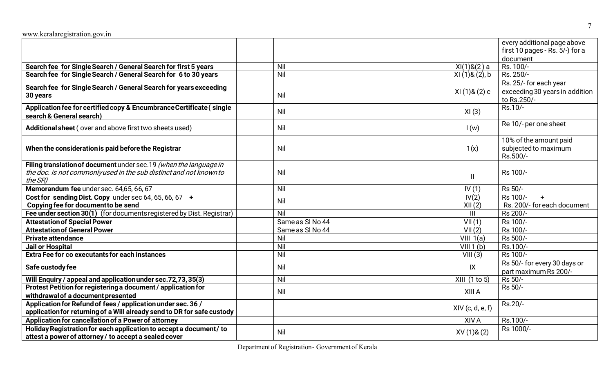|     |                                                                                                     | every additional page above                                                                                                                                 |
|-----|-----------------------------------------------------------------------------------------------------|-------------------------------------------------------------------------------------------------------------------------------------------------------------|
|     |                                                                                                     | first 10 pages - Rs. 5/-) for a                                                                                                                             |
|     |                                                                                                     | document                                                                                                                                                    |
| Nil | XI(1) & (2) a                                                                                       | Rs. 100/-                                                                                                                                                   |
|     | $XI(1)$ & $(2)$ , b                                                                                 | Rs. 250/-                                                                                                                                                   |
|     |                                                                                                     | Rs. 25/- for each year                                                                                                                                      |
| Nil | $XI(1)$ & $(2)$ c                                                                                   | exceeding 30 years in addition<br>to Rs.250/-                                                                                                               |
| Nil | XI(3)                                                                                               | Rs.10/-                                                                                                                                                     |
| Nil | I(w)                                                                                                | Re 10/- per one sheet                                                                                                                                       |
| Nil | 1(x)                                                                                                | 10% of the amount paid<br>subjected to maximum<br>Rs.500/-                                                                                                  |
| Nil | $\mathbf{H}$                                                                                        | Rs 100/-                                                                                                                                                    |
| Nil | IV(1)                                                                                               | Rs 50/-                                                                                                                                                     |
| Nil | IV(2)                                                                                               | Rs 100/-<br>$+$<br>Rs. 200/- for each document                                                                                                              |
|     |                                                                                                     | Rs 200/-                                                                                                                                                    |
|     |                                                                                                     | Rs 100/-                                                                                                                                                    |
|     |                                                                                                     | Rs 100/-                                                                                                                                                    |
|     |                                                                                                     | Rs 500/-                                                                                                                                                    |
|     |                                                                                                     | Rs.100/-                                                                                                                                                    |
|     |                                                                                                     | Rs 100/-                                                                                                                                                    |
|     |                                                                                                     | Rs 50/- for every 30 days or                                                                                                                                |
|     |                                                                                                     | part maximum Rs 200/-                                                                                                                                       |
|     |                                                                                                     | Rs 50/-                                                                                                                                                     |
|     |                                                                                                     | Rs 50/-                                                                                                                                                     |
|     |                                                                                                     |                                                                                                                                                             |
|     |                                                                                                     | Rs.20/-                                                                                                                                                     |
|     |                                                                                                     |                                                                                                                                                             |
|     | XIV A                                                                                               | Rs.100/-                                                                                                                                                    |
|     |                                                                                                     | Rs 1000/-                                                                                                                                                   |
|     |                                                                                                     |                                                                                                                                                             |
|     | Nil<br>Nil<br>Same as SI No 44<br>Same as SI No 44<br>Nil<br>Nil<br>Nil<br>Nil<br>Nil<br>Nil<br>Nil | XII(2)<br>$\mathbf{III}$<br>VII(1)<br>VII(2)<br>VIII 1(a)<br>VIII 1(b)<br>VIII(3)<br>IX<br>XIII (1 to 5)<br>XIII A<br>$XIV$ (c, d, e, f)<br>$XV(1)$ & $(2)$ |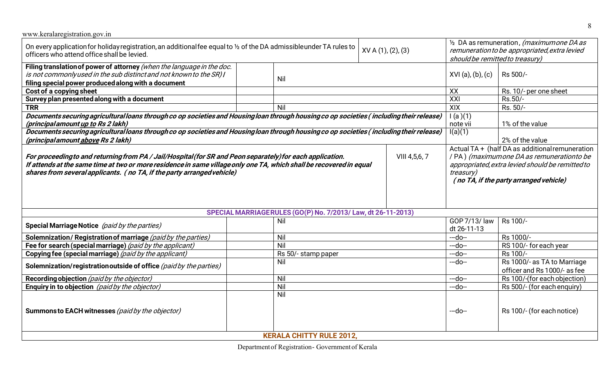| www.keralaregistration.gov.in                                                                                                                                                                                                                                                                                               |                                                              |                 |                                                                                                                               |                                                                                                                                                                                                                 |                              |  |
|-----------------------------------------------------------------------------------------------------------------------------------------------------------------------------------------------------------------------------------------------------------------------------------------------------------------------------|--------------------------------------------------------------|-----------------|-------------------------------------------------------------------------------------------------------------------------------|-----------------------------------------------------------------------------------------------------------------------------------------------------------------------------------------------------------------|------------------------------|--|
| On every application for holiday registration, an additional fee equal to 1/2 of the DA admissibleunder TA rules to<br>XV A (1), (2), (3)<br>officers who attend office shall be levied.                                                                                                                                    |                                                              |                 | 1/2 DA as remuneration, (maximumone DA as<br>remuneration to be appropriated, extra levied<br>should be remitted to treasury) |                                                                                                                                                                                                                 |                              |  |
| Filing translation of power of attorney (when the language in the doc.<br>is not commonly used in the sub distinct and not known to the SR) I<br>Nil<br>filing special power produced along with a document                                                                                                                 |                                                              |                 |                                                                                                                               |                                                                                                                                                                                                                 | Rs 500/-                     |  |
| Cost of a copying sheet<br>XX                                                                                                                                                                                                                                                                                               |                                                              |                 |                                                                                                                               |                                                                                                                                                                                                                 | Rs. 10/- per one sheet       |  |
| Survey plan presented along with a document                                                                                                                                                                                                                                                                                 |                                                              |                 |                                                                                                                               | XXI                                                                                                                                                                                                             | Rs.50/-                      |  |
| <b>TRR</b>                                                                                                                                                                                                                                                                                                                  | Nil                                                          |                 |                                                                                                                               | XIX                                                                                                                                                                                                             | Rs. 50/-                     |  |
| Documents securing agricultural loans through co op societies and Housing loan through housing co op societies (including their release)<br>(principal amount up to Rs 2 lakh)                                                                                                                                              |                                                              |                 |                                                                                                                               | 1(a)(1)<br>note vii                                                                                                                                                                                             | 1% of the value              |  |
| Documents securing agricultural loans through co op societies and Housing loan through housing co op societies (including their release)<br>(principal amount above Rs 2 lakh)                                                                                                                                              | I(a)(1)                                                      | 2% of the value |                                                                                                                               |                                                                                                                                                                                                                 |                              |  |
| For proceeding to and returning from PA / Jail/Hospital (for SR and Peon separately) for each application.<br>VIII 4,5,6,7<br>If attends at the same time at two or more residence in same village only one TA, which shall be recovered in equal<br>shares from several applicants. (no TA, if the party arranged vehicle) |                                                              |                 |                                                                                                                               | Actual TA + (half DA as additional remuneration<br>/ PA) (maximumone DA as remuneration to be<br>appropriated, extra levied should be remitted to<br><i>treasury)</i><br>(no TA, if the party arranged vehicle) |                              |  |
|                                                                                                                                                                                                                                                                                                                             | SPECIAL MARRIAGERULES (GO(P) No. 7/2013/ Law, dt 26-11-2013) |                 |                                                                                                                               |                                                                                                                                                                                                                 |                              |  |
| Special Marriage Notice (paid by the parties)                                                                                                                                                                                                                                                                               | Nil                                                          |                 |                                                                                                                               | GOP 7/13/ law<br>dt 26-11-13                                                                                                                                                                                    | Rs 100/-                     |  |
| Solemnization/Registration of marriage (paid by the parties)                                                                                                                                                                                                                                                                | Nil                                                          |                 |                                                                                                                               | $-do-$                                                                                                                                                                                                          | Rs 1000/-                    |  |
| Fee for search (special marriage) (paid by the applicant)                                                                                                                                                                                                                                                                   | Nil                                                          |                 |                                                                                                                               | $-do-$                                                                                                                                                                                                          | RS 100/- for each year       |  |
| Copying fee (special marriage) (paid by the applicant)                                                                                                                                                                                                                                                                      | Rs 50/- stamp paper                                          |                 |                                                                                                                               | $-do-$                                                                                                                                                                                                          | Rs 100/-                     |  |
| Nil<br>Solemnization/registration outside of office (paid by the parties)                                                                                                                                                                                                                                                   |                                                              |                 | $-do-$                                                                                                                        | Rs 1000/- as TA to Marriage<br>officer and Rs 1000/- as fee                                                                                                                                                     |                              |  |
| Recording objection (paid by the objector)                                                                                                                                                                                                                                                                                  | Nil                                                          |                 |                                                                                                                               | $-do-$                                                                                                                                                                                                          | Rs 100/-(for each objection) |  |
| Enquiry in to objection (paid by the objector)                                                                                                                                                                                                                                                                              | Nil                                                          |                 |                                                                                                                               | $-do-$                                                                                                                                                                                                          | Rs 500/- (for each enquiry)  |  |
|                                                                                                                                                                                                                                                                                                                             | Nil                                                          |                 |                                                                                                                               |                                                                                                                                                                                                                 |                              |  |
| Summons to EACH witnesses (paid by the objector)                                                                                                                                                                                                                                                                            | <b>KERALA CHITTY RULE 2012,</b>                              |                 |                                                                                                                               | --do--                                                                                                                                                                                                          | Rs 100/- (for each notice)   |  |

Departmentof Registration- Governmentof Kerala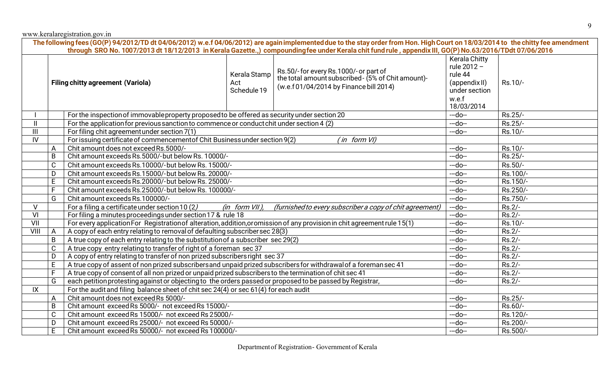|               |                |                                                                                                                                     |                                    | The following fees (GO(P) 94/2012/TD dt 04/06/2012) w.e.f 04/06/2012) are again implemented due to the stay order from Hon. High Court on 18/03/2014 to the chitty fee amendment<br>through SRO No. 1007/2013 dt 18/12/2013 in Kerala Gazette.,) compoundingfee under Kerala chit fund rule, appendix III, GO(P) No.63/2016/TDdt 07/06/2016 |                                                                                           |          |
|---------------|----------------|-------------------------------------------------------------------------------------------------------------------------------------|------------------------------------|---------------------------------------------------------------------------------------------------------------------------------------------------------------------------------------------------------------------------------------------------------------------------------------------------------------------------------------------|-------------------------------------------------------------------------------------------|----------|
|               |                | <b>Filing chitty agreement (Variola)</b>                                                                                            | Kerala Stamp<br>Act<br>Schedule 19 | Rs.50/-for every Rs.1000/-or part of<br>the total amount subscribed - (5% of Chit amount)-<br>(w.e.f 01/04/2014 by Finance bill 2014)                                                                                                                                                                                                       | <b>Kerala Chitty</b><br>rule 2012 -<br>rule 44<br>(appendix II)<br>under section<br>w.e.f | Rs.10/-  |
|               |                |                                                                                                                                     |                                    |                                                                                                                                                                                                                                                                                                                                             | 18/03/2014                                                                                |          |
|               |                | For the inspection of immovable property proposed to be offered as security under section 20                                        |                                    |                                                                                                                                                                                                                                                                                                                                             | $-do-$                                                                                    | Rs.25/-  |
| $\mathbf{II}$ |                | For the application for previous sanction to commence or conduct chit under section 4 (2)                                           |                                    |                                                                                                                                                                                                                                                                                                                                             | $-do-$                                                                                    | Rs.25/-  |
| III           |                | For filing chit agreement under section 7(1)                                                                                        |                                    |                                                                                                                                                                                                                                                                                                                                             | $-do-$                                                                                    | Rs.10/-  |
| IV            |                | For issuing certificate of commencement of Chit Business under section 9(2)                                                         |                                    | (in form VI)                                                                                                                                                                                                                                                                                                                                |                                                                                           |          |
|               | A              | Chit amount does not exceed Rs.5000/-                                                                                               |                                    |                                                                                                                                                                                                                                                                                                                                             | $-do-$                                                                                    | Rs.10/-  |
|               | B              | Chit amount exceeds Rs.5000/-but below Rs. 10000/-<br>$-do-$                                                                        |                                    |                                                                                                                                                                                                                                                                                                                                             |                                                                                           | Rs.25/-  |
|               | $\mathsf C$    | Chit amount exceeds Rs.10000/-but below Rs. 15000/-                                                                                 |                                    |                                                                                                                                                                                                                                                                                                                                             |                                                                                           | Rs.50/-  |
|               | D              | Chit amount exceeds Rs.15000/-but below Rs. 20000/-                                                                                 | $-do-$                             | Rs.100/-                                                                                                                                                                                                                                                                                                                                    |                                                                                           |          |
|               | E              | Chit amount exceeds Rs.20000/-but below Rs. 25000/-                                                                                 | $-do-$                             | Rs.150/-                                                                                                                                                                                                                                                                                                                                    |                                                                                           |          |
|               | $\overline{F}$ | Chit amount exceeds Rs.25000/-but below Rs. 100000/-                                                                                |                                    |                                                                                                                                                                                                                                                                                                                                             |                                                                                           | Rs.250/- |
|               | G              | Chit amount exceeds Rs.100000/-                                                                                                     |                                    |                                                                                                                                                                                                                                                                                                                                             | $-do-$                                                                                    | Rs.750/- |
| $\vee$        |                | For a filing a certificate under section 10 (2)                                                                                     | $(in form VII)$ ,                  | (furnished to every subscriber a copy of chit agreement)                                                                                                                                                                                                                                                                                    | $-do-$                                                                                    | $Rs.2/-$ |
| VI            |                | For filing a minutes proceedings under section 17 & rule 18<br>$-do-$                                                               |                                    |                                                                                                                                                                                                                                                                                                                                             |                                                                                           | $Rs.2/-$ |
| VII           |                | For every application For Registration of alteration, addition, or omission of any provision in chit agreement rule 15(1)<br>$-do-$ |                                    |                                                                                                                                                                                                                                                                                                                                             |                                                                                           | Rs.10/-  |
| VIII          | $\mathsf{A}$   | A copy of each entry relating to removal of defaulting subscriber sec 28(3)<br>$-do-$                                               |                                    |                                                                                                                                                                                                                                                                                                                                             |                                                                                           | Rs.2/-   |
|               | $\mathsf B$    | A true copy of each entry relating to the substitution of a subscriber sec 29(2)                                                    |                                    |                                                                                                                                                                                                                                                                                                                                             | $-do-$                                                                                    | Rs.2/-   |
|               | $\mathsf C$    | A true copy entry relating to transfer of right of a foreman sec 37<br>$-do-$                                                       |                                    |                                                                                                                                                                                                                                                                                                                                             |                                                                                           | Rs.2/-   |
|               | D              | A copy of entry relating to transfer of non prized subscribers right sec 37<br>$-do-$                                               |                                    |                                                                                                                                                                                                                                                                                                                                             |                                                                                           | $Rs.2/-$ |
|               | $\mathsf E$    | A true copy of assent of non prized subscribers and unpaid prized subscribers for withdrawal of a foreman sec 41<br>$-do-$          |                                    |                                                                                                                                                                                                                                                                                                                                             |                                                                                           | $Rs.2/-$ |
|               | F.             | A true copy of consent of all non prized or unpaid prized subscribers to the termination of chit sec 41                             | $-do-$                             | Rs.2/-                                                                                                                                                                                                                                                                                                                                      |                                                                                           |          |
|               | G              | each petition protesting against or objecting to the orders passed or proposed to be passed by Registrar,<br>$-do-$                 |                                    |                                                                                                                                                                                                                                                                                                                                             |                                                                                           | Rs.2/-   |
| IX            |                | For the audit and filing balance sheet of chit sec 24(4) or sec 61(4) for each audit                                                |                                    |                                                                                                                                                                                                                                                                                                                                             |                                                                                           |          |
|               | A              | Chit amount does not exceed Rs 5000/-                                                                                               |                                    |                                                                                                                                                                                                                                                                                                                                             | $-do-$                                                                                    | Rs.25/-  |
|               | B              | Chit amount exceed Rs 5000/- not exceed Rs 15000/-                                                                                  |                                    |                                                                                                                                                                                                                                                                                                                                             | $-do-$                                                                                    | Rs.60/-  |
|               | $\mathsf{C}$   | Chit amount exceed Rs 15000/- not exceed Rs 25000/-                                                                                 |                                    |                                                                                                                                                                                                                                                                                                                                             | $-do-$                                                                                    | Rs.120/- |
|               | D              | Chit amount exceed Rs 25000/- not exceed Rs 50000/-                                                                                 |                                    |                                                                                                                                                                                                                                                                                                                                             | $-do-$                                                                                    | Rs.200/- |
|               | E.             | Chit amount exceed Rs 50000/- not exceed Rs 100000/-                                                                                |                                    |                                                                                                                                                                                                                                                                                                                                             | $-do-$                                                                                    | Rs.500/- |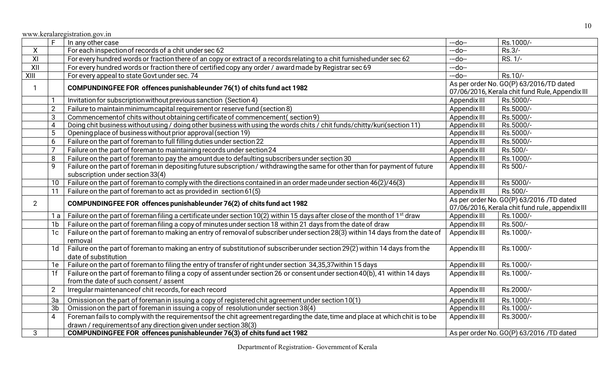|                | F.              | In any other case                                                                                                                       | --do--       | Rs.1000/-                                       |
|----------------|-----------------|-----------------------------------------------------------------------------------------------------------------------------------------|--------------|-------------------------------------------------|
| X              |                 | For each inspection of records of a chit under sec 62                                                                                   | $-do-$       | Rs.3/-                                          |
| $\overline{X}$ |                 | For every hundred words or fraction there of an copy or extract of a records relating to a chit furnished under sec 62                  | $-do-$       | $RS. 1/-$                                       |
| XII            |                 | For every hundred words or fraction there of certified copy any order / award made by Registrar sec 69                                  | $-do-$       |                                                 |
| XIII           |                 | For every appeal to state Govt under sec. 74                                                                                            | $-do-$       | Rs.10/-                                         |
|                |                 | COMPUNDINGFEE FOR offences punishable under 76(1) of chits fund act 1982                                                                |              | As per order No. GO(P) 63/2016/TD dated         |
|                |                 |                                                                                                                                         |              | 07/06/2016, Kerala chit fund Rule, Appendix III |
|                |                 | Invitation for subscription without previous sanction (Section 4)                                                                       | Appendix III | Rs.5000/-                                       |
|                | $\overline{2}$  | Failure to maintain minimum capital requirement or reserve fund (section 8)                                                             | Appendix III | Rs.5000/-                                       |
|                | 3               | Commencement of chits without obtaining certificate of commencement (section 9)                                                         | Appendix III | Rs.5000/-                                       |
|                | $\overline{4}$  | Doing chit business without using / doing other business with using the words chits / chit funds/chitty/kuri(section 11)                | Appendix III | Rs.5000/-                                       |
|                | 5               | Opening place of business without prior approval (section 19)                                                                           | Appendix III | Rs.5000/-                                       |
|                | 6               | Failure on the part of foreman to full filling duties under section 22                                                                  | Appendix III | Rs.5000/-                                       |
|                | $\overline{7}$  | Failure on the part of foreman to maintaining records under section 24                                                                  | Appendix III | Rs.500/-                                        |
|                | 8               | Failure on the part of foreman to pay the amount due to defaulting subscribers under section 30                                         | Appendix III | Rs.1000/-                                       |
|                | 9               | Failure on the part of foreman in depositing future subscription/withdrawing the same for other than for payment of future              | Appendix III | Rs 500/-                                        |
|                |                 | subscription under section 33(4)                                                                                                        |              |                                                 |
|                | 10 <sup>°</sup> | Failure on the part of foreman to comply with the directions contained in an order made under section 46(2)/46(3)                       | Appendix III | Rs 5000/-                                       |
|                | 11              | Failure on the part of foremanto act as provided in section 61(5)                                                                       | Appendix III | Rs.500/-                                        |
| $2^{\circ}$    |                 | COMPUNDINGFEE FOR offences punishable under 76(2) of chits fund act 1982                                                                |              | As per order No. GO(P) 63/2016 /TD dated        |
|                |                 |                                                                                                                                         |              | 07/06/2016, Kerala chit fund rule, appendix III |
|                | 1 a             | Failure on the part of foreman filing a certificate under section 10(2) within 15 days after close of the month of 1 <sup>st</sup> draw | Appendix III | Rs.1000/-                                       |
|                | 1b              | Failure on the part of foreman filing a copy of minutes under section 18 within 21 days from the date of draw                           | Appendix III | Rs.500/-                                        |
|                | 1 <sub>c</sub>  | Failure on the part of foreman to making an entry of removal of subscriber under section 28(3) within 14 days from the date of          | Appendix III | Rs.1000/-                                       |
|                |                 | removal                                                                                                                                 |              |                                                 |
|                | 1d              | Failure on the part of foreman to making an entry of substitution of subscriber under section 29(2) within 14 days from the             | Appendix III | Rs.1000/-                                       |
|                |                 | date of substitution                                                                                                                    |              |                                                 |
|                | 1e              | Failure on the part of foreman to filing the entry of transfer of right under section 34,35,37 within 15 days                           | Appendix III | Rs.1000/-                                       |
|                | 1 <sup>f</sup>  | Failure on the part of foreman to filing a copy of assent under section 26 or consent under section 40(b), 41 within 14 days            | Appendix III | Rs.1000/-                                       |
|                |                 | from the date of such consent / assent                                                                                                  |              |                                                 |
|                | $\overline{2}$  | Irregular maintenance of chit records, for each record                                                                                  | Appendix III | Rs.2000/-                                       |
|                | 3a              | Omission on the part of foreman in issuing a copy of registered chit agreement under section 10(1)                                      | Appendix III | Rs.1000/-                                       |
|                | 3b              | Omission on the part of foreman in issuing a copy of resolution under section 38(4)                                                     | Appendix III | Rs.1000/-                                       |
|                | $\overline{4}$  | Foreman fails to comply with the requirements of the chit agreement regarding the date, time and place at which chit is to be           | Appendix III | Rs.3000/-                                       |
|                |                 | drawn / requirements of any direction given under section 38(3)                                                                         |              |                                                 |
| 3              |                 | COMPUNDINGFEE FOR offences punishable under 76(3) of chits fund act 1982                                                                |              | As per order No. GO(P) 63/2016 /TD dated        |